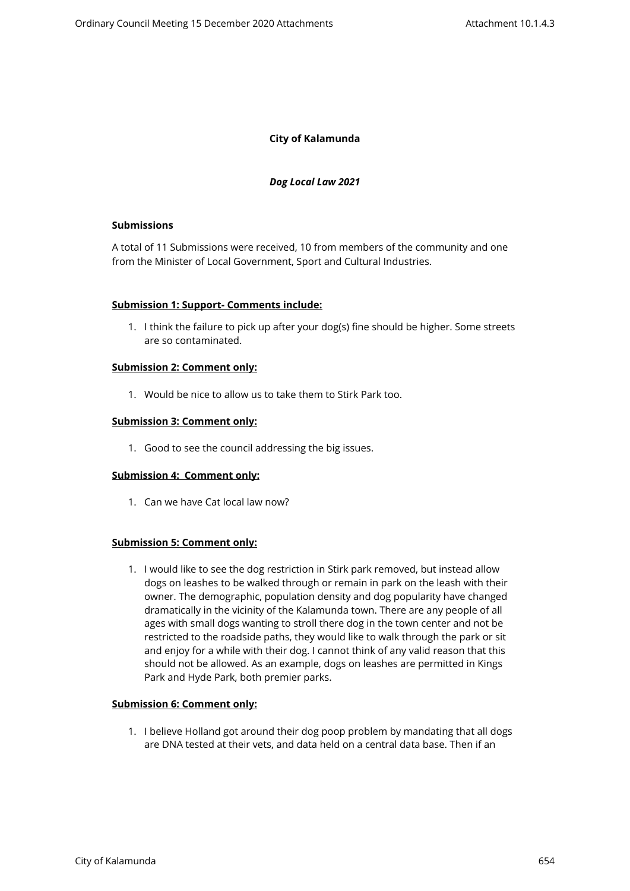# **City of Kalamunda**

### *Dog Local Law 2021*

### **Submissions**

A total of 11 Submissions were received, 10 from members of the community and one from the Minister of Local Government, Sport and Cultural Industries.

### **Submission 1: Support- Comments include:**

1. I think the failure to pick up after your dog(s) fine should be higher. Some streets are so contaminated.

#### **Submission 2: Comment only:**

1. Would be nice to allow us to take them to Stirk Park too.

### **Submission 3: Comment only:**

1. Good to see the council addressing the big issues.

## **Submission 4: Comment only:**

1. Can we have Cat local law now?

## **Submission 5: Comment only:**

1. I would like to see the dog restriction in Stirk park removed, but instead allow dogs on leashes to be walked through or remain in park on the leash with their owner. The demographic, population density and dog popularity have changed dramatically in the vicinity of the Kalamunda town. There are any people of all ages with small dogs wanting to stroll there dog in the town center and not be restricted to the roadside paths, they would like to walk through the park or sit and enjoy for a while with their dog. I cannot think of any valid reason that this should not be allowed. As an example, dogs on leashes are permitted in Kings Park and Hyde Park, both premier parks.

### **Submission 6: Comment only:**

1. I believe Holland got around their dog poop problem by mandating that all dogs are DNA tested at their vets, and data held on a central data base. Then if an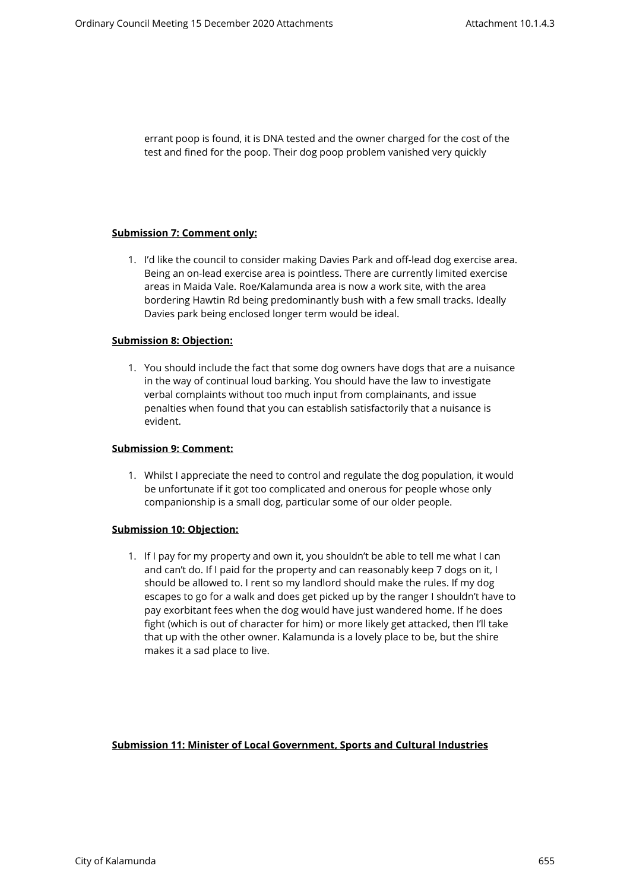errant poop is found, it is DNA tested and the owner charged for the cost of the test and fined for the poop. Their dog poop problem vanished very quickly

### **Submission 7: Comment only:**

1. I'd like the council to consider making Davies Park and off-lead dog exercise area. Being an on-lead exercise area is pointless. There are currently limited exercise areas in Maida Vale. Roe/Kalamunda area is now a work site, with the area bordering Hawtin Rd being predominantly bush with a few small tracks. Ideally Davies park being enclosed longer term would be ideal.

### **Submission 8: Objection:**

1. You should include the fact that some dog owners have dogs that are a nuisance in the way of continual loud barking. You should have the law to investigate verbal complaints without too much input from complainants, and issue penalties when found that you can establish satisfactorily that a nuisance is evident.

#### **Submission 9: Comment:**

1. Whilst I appreciate the need to control and regulate the dog population, it would be unfortunate if it got too complicated and onerous for people whose only companionship is a small dog, particular some of our older people.

#### **Submission 10: Objection:**

1. If I pay for my property and own it, you shouldn't be able to tell me what I can and can't do. If I paid for the property and can reasonably keep 7 dogs on it, I should be allowed to. I rent so my landlord should make the rules. If my dog escapes to go for a walk and does get picked up by the ranger I shouldn't have to pay exorbitant fees when the dog would have just wandered home. If he does fight (which is out of character for him) or more likely get attacked, then I'll take that up with the other owner. Kalamunda is a lovely place to be, but the shire makes it a sad place to live.

## **Submission 11: Minister of Local Government, Sports and Cultural Industries**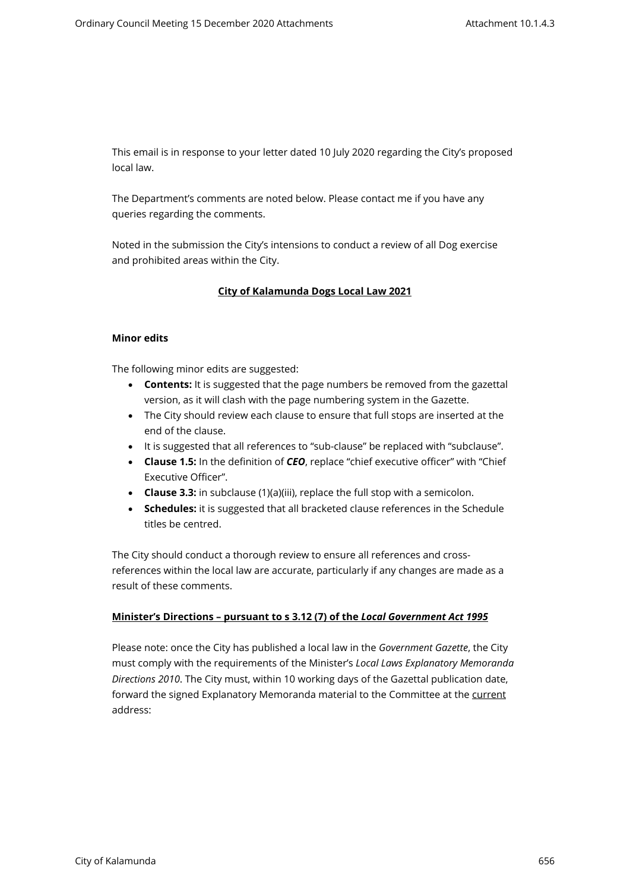This email is in response to your letter dated 10 July 2020 regarding the City's proposed local law.

The Department's comments are noted below. Please contact me if you have any queries regarding the comments.

Noted in the submission the City's intensions to conduct a review of all Dog exercise and prohibited areas within the City.

## **City of Kalamunda Dogs Local Law 2021**

### **Minor edits**

The following minor edits are suggested:

- **Contents:** It is suggested that the page numbers be removed from the gazettal version, as it will clash with the page numbering system in the Gazette.
- The City should review each clause to ensure that full stops are inserted at the end of the clause.
- It is suggested that all references to "sub-clause" be replaced with "subclause".
- **Clause 1.5:** In the definition of *CEO*, replace "chief executive officer" with "Chief Executive Officer".
- **Clause 3.3:** in subclause (1)(a)(iii), replace the full stop with a semicolon.
- **Schedules:** it is suggested that all bracketed clause references in the Schedule titles be centred.

The City should conduct a thorough review to ensure all references and crossreferences within the local law are accurate, particularly if any changes are made as a result of these comments.

#### **Minister's Directions – pursuant to s 3.12 (7) of the** *Local Government Act 1995*

Please note: once the City has published a local law in the *Government Gazette*, the City must comply with the requirements of the Minister's *Local Laws Explanatory Memoranda Directions 2010*. The City must, within 10 working days of the Gazettal publication date, forward the signed Explanatory Memoranda material to the Committee at the current address: